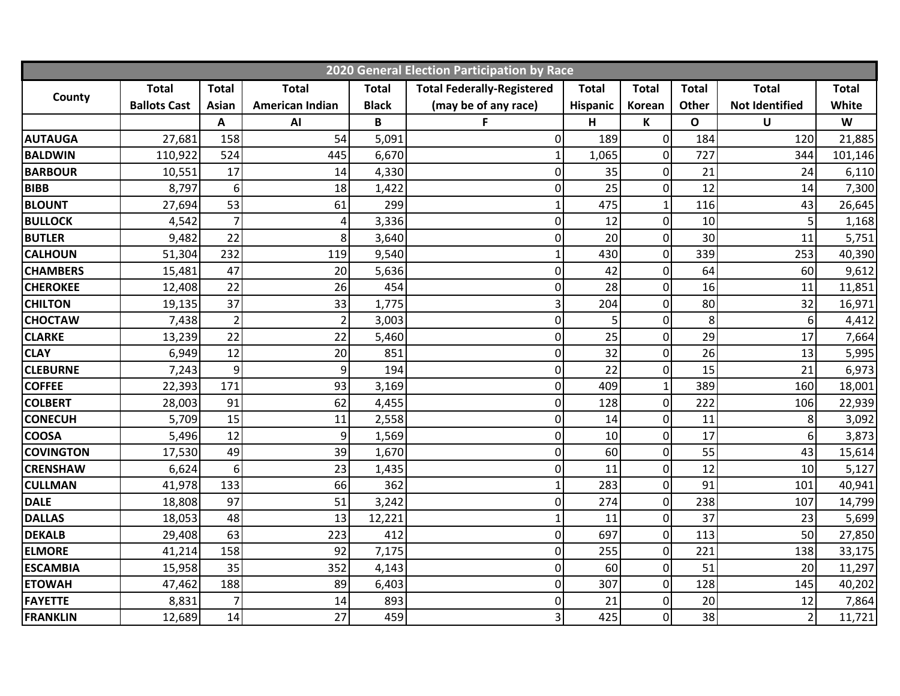| 2020 General Election Participation by Race |                     |                |                        |              |                                   |              |                |              |                       |              |
|---------------------------------------------|---------------------|----------------|------------------------|--------------|-----------------------------------|--------------|----------------|--------------|-----------------------|--------------|
|                                             | <b>Total</b>        | <b>Total</b>   | <b>Total</b>           | <b>Total</b> | <b>Total Federally-Registered</b> | <b>Total</b> | <b>Total</b>   | <b>Total</b> | <b>Total</b>          | <b>Total</b> |
| County                                      | <b>Ballots Cast</b> | <b>Asian</b>   | <b>American Indian</b> | <b>Black</b> | (may be of any race)              | Hispanic     | Korean         | <b>Other</b> | <b>Not Identified</b> | White        |
|                                             |                     | Α              | AI                     | B            | F                                 | H            | K              | $\mathbf{o}$ | U                     | W            |
| <b>AUTAUGA</b>                              | 27,681              | 158            | 54                     | 5,091        | 0                                 | 189          | $\mathbf 0$    | 184          | 120                   | 21,885       |
| <b>BALDWIN</b>                              | 110,922             | 524            | 445                    | 6,670        | $\mathbf{1}$                      | 1,065        | $\mathbf 0$    | 727          | 344                   | 101,146      |
| <b>BARBOUR</b>                              | 10,551              | 17             | 14                     | 4,330        | 0                                 | 35           | $\mathbf 0$    | 21           | 24                    | 6,110        |
| <b>BIBB</b>                                 | 8,797               | 6              | 18                     | 1,422        | $\overline{0}$                    | 25           | $\mathbf 0$    | 12           | 14                    | 7,300        |
| <b>BLOUNT</b>                               | 27,694              | 53             | 61                     | 299          | 1                                 | 475          | $\mathbf{1}$   | 116          | 43                    | 26,645       |
| <b>BULLOCK</b>                              | 4,542               | $\overline{7}$ | $\overline{4}$         | 3,336        | 0                                 | 12           | $\pmb{0}$      | 10           | 5                     | 1,168        |
| <b>BUTLER</b>                               | 9,482               | 22             | 8                      | 3,640        | 0                                 | 20           | $\overline{0}$ | 30           | 11                    | 5,751        |
| <b>CALHOUN</b>                              | 51,304              | 232            | 119                    | 9,540        |                                   | 430          | $\overline{0}$ | 339          | 253                   | 40,390       |
| <b>CHAMBERS</b>                             | 15,481              | 47             | 20                     | 5,636        | 0                                 | 42           | $\mathbf 0$    | 64           | 60                    | 9,612        |
| <b>CHEROKEE</b>                             | 12,408              | 22             | 26                     | 454          | 0                                 | 28           | $\mathbf 0$    | 16           | 11                    | 11,851       |
| <b>CHILTON</b>                              | 19,135              | 37             | 33                     | 1,775        | 3                                 | 204          | 0              | 80           | 32                    | 16,971       |
| <b>CHOCTAW</b>                              | 7,438               | $\overline{2}$ | $\overline{2}$         | 3,003        | 0                                 |              | 0              | 8            | 6                     | 4,412        |
| <b>CLARKE</b>                               | 13,239              | 22             | 22                     | 5,460        | 0                                 | 25           | $\mathbf 0$    | 29           | 17                    | 7,664        |
| <b>CLAY</b>                                 | 6,949               | 12             | 20                     | 851          | 0                                 | 32           | $\mathbf 0$    | 26           | 13                    | 5,995        |
| <b>CLEBURNE</b>                             | 7,243               | 9              | 9                      | 194          | $\overline{0}$                    | 22           | $\mathbf 0$    | 15           | 21                    | 6,973        |
| <b>COFFEE</b>                               | 22,393              | 171            | 93                     | 3,169        | $\mathbf 0$                       | 409          | $\mathbf{1}$   | 389          | 160                   | 18,001       |
| <b>COLBERT</b>                              | 28,003              | 91             | 62                     | 4,455        | 0                                 | 128          | $\mathbf 0$    | 222          | 106                   | 22,939       |
| <b>CONECUH</b>                              | 5,709               | 15             | 11                     | 2,558        | 0                                 | 14           | 0              | 11           | 8                     | 3,092        |
| <b>COOSA</b>                                | 5,496               | 12             | 9                      | 1,569        | 0                                 | 10           | 0              | 17           | 6                     | 3,873        |
| <b>COVINGTON</b>                            | 17,530              | 49             | 39                     | 1,670        | 0                                 | 60           | $\pmb{0}$      | 55           | 43                    | 15,614       |
| <b>CRENSHAW</b>                             | 6,624               | 6              | 23                     | 1,435        | 0                                 | 11           | $\mathbf 0$    | 12           | 10                    | 5,127        |
| <b>CULLMAN</b>                              | 41,978              | 133            | 66                     | 362          |                                   | 283          | $\overline{0}$ | 91           | 101                   | 40,941       |
| <b>DALE</b>                                 | 18,808              | 97             | 51                     | 3,242        | $\mathbf 0$                       | 274          | $\mathbf 0$    | 238          | 107                   | 14,799       |
| <b>DALLAS</b>                               | 18,053              | 48             | 13                     | 12,221       |                                   | 11           | $\mathbf 0$    | 37           | 23                    | 5,699        |
| <b>DEKALB</b>                               | 29,408              | 63             | 223                    | 412          | 0                                 | 697          | $\mathbf 0$    | 113          | 50                    | 27,850       |
| <b>ELMORE</b>                               | 41,214              | 158            | 92                     | 7,175        | 0                                 | 255          | $\pmb{0}$      | 221          | 138                   | 33,175       |
| <b>ESCAMBIA</b>                             | 15,958              | 35             | 352                    | 4,143        | $\overline{0}$                    | 60           | $\mathbf 0$    | 51           | 20                    | 11,297       |
| <b>ETOWAH</b>                               | 47,462              | 188            | 89                     | 6,403        | 0                                 | 307          | $\mathbf 0$    | 128          | 145                   | 40,202       |
| <b>FAYETTE</b>                              | 8,831               | $\overline{7}$ | 14                     | 893          | 0                                 | 21           | $\mathbf 0$    | 20           | 12                    | 7,864        |
| <b>FRANKLIN</b>                             | 12,689              | 14             | 27                     | 459          | 3                                 | 425          | $\overline{0}$ | 38           | $\overline{2}$        | 11,721       |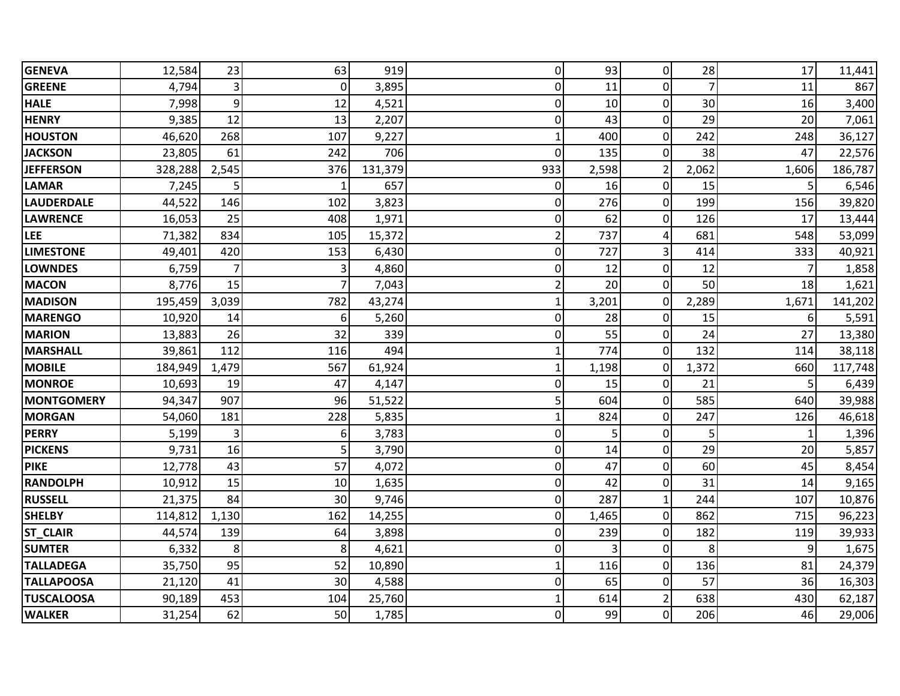| <b>GENEVA</b>     | 12,584  | 23             | 63             | 919     | Οl             | 93    | 0              | 28             | 17             | 11,441  |
|-------------------|---------|----------------|----------------|---------|----------------|-------|----------------|----------------|----------------|---------|
| <b>GREENE</b>     | 4,794   | 3              | $\Omega$       | 3,895   | 0              | 11    | $\mathbf 0$    | $\overline{7}$ | 11             | 867     |
| <b>HALE</b>       | 7,998   | 9              | 12             | 4,521   | $\overline{0}$ | 10    | $\overline{0}$ | 30             | 16             | 3,400   |
| <b>HENRY</b>      | 9,385   | 12             | 13             | 2,207   | 0              | 43    | $\mathbf 0$    | 29             | 20             | 7,061   |
| <b>HOUSTON</b>    | 46,620  | 268            | 107            | 9,227   | 1              | 400   | $\overline{0}$ | 242            | 248            | 36,127  |
| <b>JACKSON</b>    | 23,805  | 61             | 242            | 706     | $\Omega$       | 135   | $\overline{0}$ | 38             | 47             | 22,576  |
| <b>JEFFERSON</b>  | 328,288 | 2,545          | 376            | 131,379 | 933            | 2,598 | $\overline{2}$ | 2,062          | 1,606          | 186,787 |
| <b>LAMAR</b>      | 7,245   | 5              | $\mathbf 1$    | 657     | 0              | 16    | $\overline{0}$ | 15             | 5              | 6,546   |
| <b>LAUDERDALE</b> | 44,522  | 146            | 102            | 3,823   | 0              | 276   | $\overline{0}$ | 199            | 156            | 39,820  |
| LAWRENCE          | 16,053  | 25             | 408            | 1,971   | 0              | 62    | $\overline{0}$ | 126            | 17             | 13,444  |
| LEE               | 71,382  | 834            | 105            | 15,372  | $\overline{2}$ | 737   | $\overline{4}$ | 681            | 548            | 53,099  |
| <b>LIMESTONE</b>  | 49,401  | 420            | 153            | 6,430   | 0              | 727   | $\overline{3}$ | 414            | 333            | 40,921  |
| <b>LOWNDES</b>    | 6,759   | $\overline{7}$ | 3              | 4,860   | 0              | 12    | $\overline{0}$ | 12             | $\overline{7}$ | 1,858   |
| <b>MACON</b>      | 8,776   | 15             | $\overline{7}$ | 7,043   | $\overline{2}$ | 20    | $\overline{0}$ | 50             | 18             | 1,621   |
| <b>MADISON</b>    | 195,459 | 3,039          | 782            | 43,274  | 1              | 3,201 | $\pmb{0}$      | 2,289          | 1,671          | 141,202 |
| <b>MARENGO</b>    | 10,920  | 14             | 6              | 5,260   | 0              | 28    | 0              | 15             | 6              | 5,591   |
| <b>MARION</b>     | 13,883  | 26             | 32             | 339     | 0              | 55    | $\overline{0}$ | 24             | 27             | 13,380  |
| <b>MARSHALL</b>   | 39,861  | 112            | 116            | 494     | 1              | 774   | $\overline{0}$ | 132            | 114            | 38,118  |
| <b>MOBILE</b>     | 184,949 | 1,479          | 567            | 61,924  | 1              | 1,198 | $\mathbf 0$    | 1,372          | 660            | 117,748 |
| <b>MONROE</b>     | 10,693  | 19             | 47             | 4,147   | 0              | 15    | $\mathbf 0$    | 21             | 5              | 6,439   |
| <b>MONTGOMERY</b> | 94,347  | 907            | 96             | 51,522  | 5              | 604   | $\overline{O}$ | 585            | 640            | 39,988  |
| <b>MORGAN</b>     | 54,060  | 181            | 228            | 5,835   | 1              | 824   | $\overline{0}$ | 247            | 126            | 46,618  |
| <b>PERRY</b>      | 5,199   | 3              | 6              | 3,783   | 0              | 5     | $\overline{0}$ | 5              | $\mathbf{1}$   | 1,396   |
| <b>PICKENS</b>    | 9,731   | 16             | 5              | 3,790   | 0              | 14    | $\overline{0}$ | 29             | 20             | 5,857   |
| <b>PIKE</b>       | 12,778  | 43             | 57             | 4,072   | 0              | 47    | $\pmb{0}$      | 60             | 45             | 8,454   |
| <b>RANDOLPH</b>   | 10,912  | 15             | 10             | 1,635   | 0              | 42    | 0              | 31             | 14             | 9,165   |
| <b>RUSSELL</b>    | 21,375  | 84             | 30             | 9,746   | 0              | 287   | $\mathbf{1}$   | 244            | 107            | 10,876  |
| <b>SHELBY</b>     | 114,812 | 1,130          | 162            | 14,255  | 0              | 1,465 | $\overline{0}$ | 862            | 715            | 96,223  |
| <b>ST_CLAIR</b>   | 44,574  | 139            | 64             | 3,898   | 0              | 239   | $\overline{0}$ | 182            | 119            | 39,933  |
| <b>SUMTER</b>     | 6,332   | 8              | 8              | 4,621   | 0              | 3     | $\pmb{0}$      | 8              | 9              | 1,675   |
| <b>TALLADEGA</b>  | 35,750  | 95             | 52             | 10,890  | $\mathbf{1}$   | 116   | $\overline{O}$ | 136            | 81             | 24,379  |
| <b>TALLAPOOSA</b> | 21,120  | 41             | 30             | 4,588   | 0              | 65    | $\overline{0}$ | 57             | 36             | 16,303  |
| <b>TUSCALOOSA</b> | 90,189  | 453            | 104            | 25,760  | 1              | 614   | $\overline{2}$ | 638            | 430            | 62,187  |
| <b>WALKER</b>     | 31,254  | 62             | 50             | 1,785   | $\Omega$       | 99    | $\overline{0}$ | 206            | 46             | 29,006  |